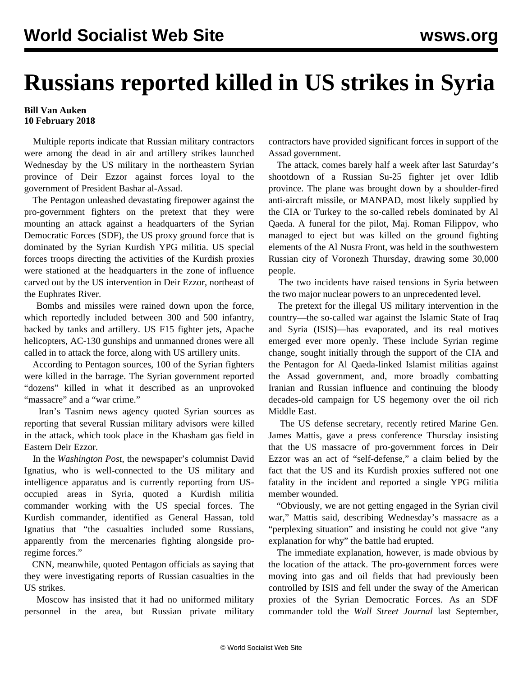## **Russians reported killed in US strikes in Syria**

## **Bill Van Auken 10 February 2018**

 Multiple reports indicate that Russian military contractors were among the dead in air and artillery strikes launched Wednesday by the US military in the northeastern Syrian province of Deir Ezzor against forces loyal to the government of President Bashar al-Assad.

 The Pentagon unleashed devastating firepower against the pro-government fighters on the pretext that they were mounting an attack against a headquarters of the Syrian Democratic Forces (SDF), the US proxy ground force that is dominated by the Syrian Kurdish YPG militia. US special forces troops directing the activities of the Kurdish proxies were stationed at the headquarters in the zone of influence carved out by the US intervention in Deir Ezzor, northeast of the Euphrates River.

 Bombs and missiles were rained down upon the force, which reportedly included between 300 and 500 infantry, backed by tanks and artillery. US F15 fighter jets, Apache helicopters, AC-130 gunships and unmanned drones were all called in to attack the force, along with US artillery units.

 According to Pentagon sources, 100 of the Syrian fighters were killed in the barrage. The Syrian government reported "dozens" killed in what it described as an unprovoked "massacre" and a "war crime."

 Iran's Tasnim news agency quoted Syrian sources as reporting that several Russian military advisors were killed in the attack, which took place in the Khasham gas field in Eastern Deir Ezzor.

 In the *Washington Post*, the newspaper's columnist David Ignatius, who is well-connected to the US military and intelligence apparatus and is currently reporting from USoccupied areas in Syria, quoted a Kurdish militia commander working with the US special forces. The Kurdish commander, identified as General Hassan, told Ignatius that "the casualties included some Russians, apparently from the mercenaries fighting alongside proregime forces."

 CNN, meanwhile, quoted Pentagon officials as saying that they were investigating reports of Russian casualties in the US strikes.

 Moscow has insisted that it had no uniformed military personnel in the area, but Russian private military

contractors have provided significant forces in support of the Assad government.

 The attack, comes barely half a week after last Saturday's shootdown of a Russian Su-25 fighter jet over Idlib province. The plane was brought down by a shoulder-fired anti-aircraft missile, or MANPAD, most likely supplied by the CIA or Turkey to the so-called rebels dominated by Al Qaeda. A funeral for the pilot, Maj. Roman Filippov, who managed to eject but was killed on the ground fighting elements of the Al Nusra Front, was held in the southwestern Russian city of Voronezh Thursday, drawing some 30,000 people.

 The two incidents have raised tensions in Syria between the two major nuclear powers to an unprecedented level.

 The pretext for the illegal US military intervention in the country—the so-called war against the Islamic State of Iraq and Syria (ISIS)—has evaporated, and its real motives emerged ever more openly. These include Syrian regime change, sought initially through the support of the CIA and the Pentagon for Al Qaeda-linked Islamist militias against the Assad government, and, more broadly combatting Iranian and Russian influence and continuing the bloody decades-old campaign for US hegemony over the oil rich Middle East.

 The US defense secretary, recently retired Marine Gen. James Mattis, gave a press conference Thursday insisting that the US massacre of pro-government forces in Deir Ezzor was an act of "self-defense," a claim belied by the fact that the US and its Kurdish proxies suffered not one fatality in the incident and reported a single YPG militia member wounded.

 "Obviously, we are not getting engaged in the Syrian civil war," Mattis said, describing Wednesday's massacre as a "perplexing situation" and insisting he could not give "any explanation for why" the battle had erupted.

 The immediate explanation, however, is made obvious by the location of the attack. The pro-government forces were moving into gas and oil fields that had previously been controlled by ISIS and fell under the sway of the American proxies of the Syrian Democratic Forces. As an SDF commander told the *Wall Street Journal* last September,